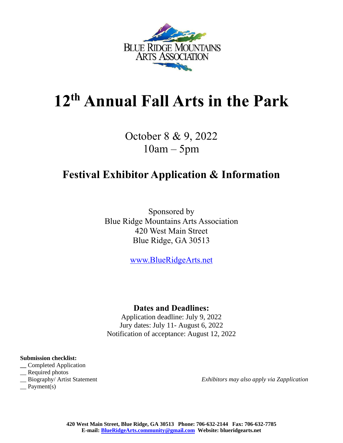

# **12 th Annual Fall Arts in the Park**

October 8 & 9, 2022 10am – 5pm

# **Festival Exhibitor Application & Information**

Sponsored by Blue Ridge Mountains Arts Association 420 West Main Street Blue Ridge, GA 30513

[www.BlueRidgeArts.net](http://www.blueridgearts.net/)

### **Dates and Deadlines:**

Application deadline: July 9, 2022 Jury dates: July 11- August 6, 2022 Notification of acceptance: August 12, 2022

#### **Submission checklist:**

- **\_\_** Completed Application
- \_\_ Required photos
- 
- $\equiv$  Payment(s)

\_\_ Biography/ Artist Statement *Exhibitors may also apply via Zapplication*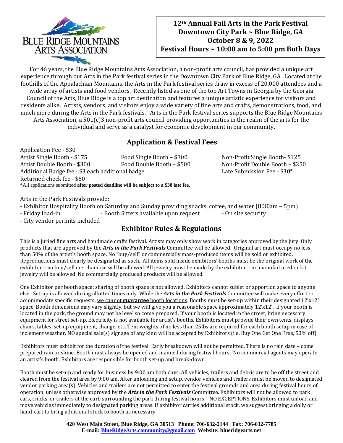

#### **12th Annual Fall Arts in the Park Festival Downtown City Park ~ Blue Ridge, GA October 8 & 9, 2022 Festival Hours ~ 10:00 am to 5:00 pm Both Days**

For 46 years, the Blue Ridge Mountains Arts Association, a non-profit arts council, has provided a unique art experience through our Arts in the Park festival series in the Downtown City Park of Blue Ridge, GA. Located at the foothills of the Appalachian Mountains, the Arts in the Park festival series draw in excess of 20,000 attendees and a wide array of artists and food vendors. Recently listed as one of the top Art Towns in Georgia by the Georgia Council of the Arts, Blue Ridge is a top art destination and features a unique artistic experience for visitors and residents alike. Artists, vendors, and visitors enjoy a wide variety of fine arts and crafts, demonstrations, food, and much more during the Arts in the Park festivals. Arts in the Park festival series supports the Blue Ridge Mountains Arts Association, a 501(c)3 non-profit arts council providing opportunities in the realm of the arts for the individual and serve as a catalyst for economic development in our community.

## **Application & Festival Fees**

Application Fee - \$30 Artist Single Booth - \$175 Food Single Booth – \$300 Non-Profit Single Booth- \$125 Artist Double Booth - \$300 Food Double Booth – \$500 Non-Profit Double Booth – \$250 Additional Badge fee - \$3 each additional badge Late Submission Fee - \$30\* Returned check fee - \$50 \*All applications submitted **after posted deadline will be subject to a \$30 late fee.**

Arts in the Park Festivals provide:

- Exhibitor Hospitality Booth on Saturday and Sunday providing snacks, coffee, and water (8:30am – 5pm)

- Friday load-in - Booth Sitters available upon request - On site security

- City vendor permits included

#### **Exhibitor Rules & Regulations**

This is a juried fine arts and handmade crafts festival. Artists may only show work in categories approved by the jury. Only products that are approved by the *Arts in the Park Festivals* Committee will be allowed. Original art must occupy no less than 50% of the artist's booth space. No "buy/sell" or commercially mass-produced items will be sold or exhibited. Reproductions must clearly be designated as such. All items sold inside exhibitors' booths must be the original work of the exhibitor – no buy/sell merchandise will be allowed. All jewelry must be made by the exhibitor – no manufactured or kit jewelry will be allowed. No commercially produced products will be allowed.

One Exhibitor per booth space; sharing of booth space is not allowed. Exhibitors cannot sublet or apportion space to anyone else. Set-up is allowed during allotted times only. While the *Arts in the Park Festivals* Committee will make every effort to accommodate specific requests, we cannot **guarantee** booth locations. Booths must be set-up within their designated 12'x12' space. Booth dimensions may vary slightly, but we will give you a reasonable space approximately 12'x12'. If your booth is located in the park, the ground may not be level so come prepared. If your booth is located in the street, bring necessary equipment for street set-up. Electricity is not available for artist's booths. Exhibitors must provide their own tents, displays, chairs, tables, set-up equipment, change, etc. Tent weights of no less than 25lbs are required for each booth setup in case of inclement weather. NO special sale(s) signage of any kind will be accepted by Exhibitors (i.e. Buy One Get One Free, 50% off).

Exhibitors must exhibit for the duration of the festival. Early breakdown will not be permitted. There is no rain date – come prepared rain or shine. Booth must always be opened and manned during festival hours. No commercial agents may operate an artist's booth. Exhibitors are responsible for booth set-up and break-down.

Booth must be set-up and ready for business by 9:00 am both days. All vehicles, trailers and debris are to be off the street and cleared from the festival area by 9:00 am. After unloading and setup, vendor vehicles and trailers must be moved to designated vendor parking area(s). Vehicles and trailers are not permitted to enter the festival grounds and area during festival hours of operation, unless otherwise approved by the *Arts in the Park Festivals* Committee. Exhibitors will not be allowed to park cars, trucks, or trailers at the curb surrounding the park during festival hours – NO EXCEPTIONS. Exhibitors must unload and move vehicles immediately to designated parking areas. If exhibitor carries additional stock, we suggest bringing a dolly or hand-cart to bring additional stock to booth as necessary.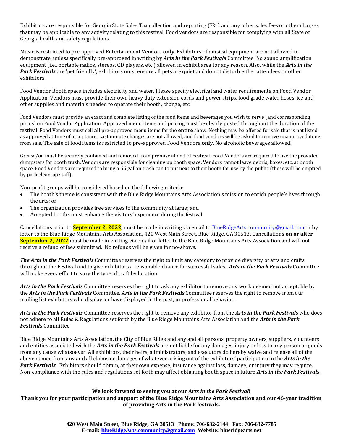Exhibitors are responsible for Georgia State Sales Tax collection and reporting (7%) and any other sales fees or other charges that may be applicable to any activity relating to this festival. Food vendors are responsible for complying with all State of Georgia health and safety regulations.

Music is restricted to pre-approved Entertainment Vendors **only**. Exhibitors of musical equipment are not allowed to demonstrate, unless specifically pre-approved in writing by *Arts in the Park Festivals* Committee. No sound amplification equipment (i.e., portable radios, stereos, CD players, etc.) allowed in exhibit area for any reason. Also, while the *Arts in the Park Festivals* are 'pet friendly', exhibitors must ensure all pets are quiet and do not disturb either attendees or other exhibitors.

Food Vendor Booth space includes electricity and water. Please specify electrical and water requirements on Food Vendor Application. Vendors must provide their own heavy duty extension cords and power strips, food grade water hoses, ice and other supplies and materials needed to operate their booth, change, etc.

Food Vendors must provide an exact and complete listing of the food items and beverages you wish to serve (and corresponding prices) on Food Vendor Application. Approved menu items and pricing must be clearly posted throughout the duration of the festival. Food Vendors must sell **all** pre-approved menu items for the **entire** show. Nothing may be offered for sale that is not listed as approved at time of acceptance. Last minute changes are not allowed, and food vendors will be asked to remove unapproved items from sale. The sale of food items is restricted to pre-approved Food Vendors **only**. No alcoholic beverages allowed!

Grease/oil must be securely contained and removed from premise at end of Festival. Food Vendors are required to use the provided dumpsters for booth trash. Vendors are responsible for cleaning up booth space. Vendors cannot leave debris, boxes, etc. at booth space. Food Vendors are required to bring a 55 gallon trash can to put next to their booth for use by the public (these will be emptied by park clean-up staff).

Non-profit groups will be considered based on the following criteria:

- The booth's theme is consistent with the Blue Ridge Mountains Arts Association's mission to enrich people's lives through the arts; or
- The organization provides free services to the community at large; and
- Accepted booths must enhance the visitors' experience during the festival.

Cancellations prior to **September 2, 2022**, must be made in writing via email t[o BlueRidgeArts.community@gmail.com](mailto:BlueRidgeArts.community@gmail.com) or by letter to the Blue Ridge Mountains Arts Association, 420 West Main Street, Blue Ridge, GA 30513. Cancellations **on or after September 2, 2022** must be made in writing via email or letter to the Blue Ridge Mountains Arts Association and will not receive a refund of fees submitted. No refunds will be given for no-shows.

*The Arts in the Park Festivals* Committee reserves the right to limit any category to provide diversity of arts and crafts throughout the Festival and to give exhibitors a reasonable chance for successful sales. *Arts in the Park Festivals* Committee will make every effort to vary the type of craft by location.

*Arts in the Park Festivals* Committee reserves the right to ask any exhibitor to remove any work deemed not acceptable by the *Arts in the Park Festivals* Committee. *Arts in the Park Festivals* Committee reserves the right to remove from our mailing list exhibitors who display, or have displayed in the past, unprofessional behavior.

*Arts in the Park Festivals* Committee reserves the right to remove any exhibitor from the *Arts in the Park Festivals* who does not adhere to all Rules & Regulations set forth by the Blue Ridge Mountains Arts Association and the *Arts in the Park Festivals* Committee.

Blue Ridge Mountains Arts Association, the City of Blue Ridge and any and all persons, property owners, suppliers, volunteers and entities associated with the *Arts in the Park Festivals* are not liable for any damages, injury or loss to any person or goods from any cause whatsoever. All exhibitors, their heirs, administrators, and executors do hereby waive and release all of the above named from any and all claims or damages of whatever arising out of the exhibitors' participation in the *Arts in the Park Festivals.* Exhibitors should obtain, at their own expense, insurance against loss, damage, or injury they may require. Non-compliance with the rules and regulations set forth may affect obtaining booth space in future *Arts in the Park Festivals*.

#### **We look forward to seeing you at our A***rts in the Park Festival***!**

**Thank you for your participation and support of the Blue Ridge Mountains Arts Association and our 46-year tradition of providing Arts in the Park festivals.**

> **420 West Main Street, Blue Ridge, GA 30513 Phone: 706-632-2144 Fax: 706-632-7785 E-mail: [BlueRidgeArts.community@gmail.com](mailto:BlueRidgeArts.community@gmail.com) Website: blueridgearts.net**